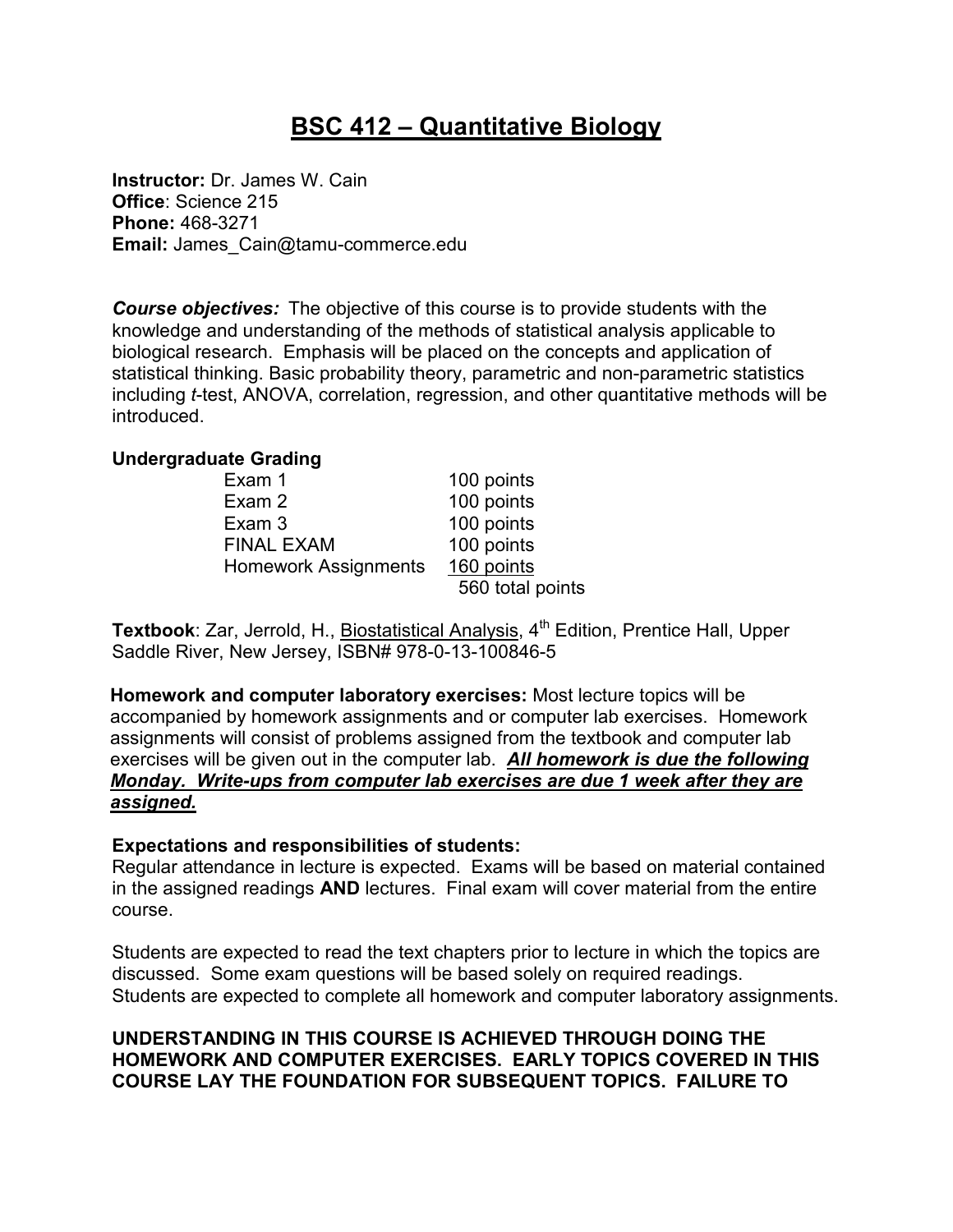# **BSC 412 – Quantitative Biology**

**Instructor:** Dr. James W. Cain **Office**: Science 215 **Phone:** 468-3271 **Email:** James\_Cain@tamu-commerce.edu

*Course objectives:* The objective of this course is to provide students with the knowledge and understanding of the methods of statistical analysis applicable to biological research. Emphasis will be placed on the concepts and application of statistical thinking. Basic probability theory, parametric and non-parametric statistics including *t*-test, ANOVA, correlation, regression, and other quantitative methods will be introduced.

## **Undergraduate Grading**

| Exam 1                      | 100 points       |
|-----------------------------|------------------|
| Exam 2                      | 100 points       |
| Exam 3                      | 100 points       |
| <b>FINAL EXAM</b>           | 100 points       |
| <b>Homework Assignments</b> | 160 points       |
|                             | 560 total points |

**Textbook:** Zar, Jerrold, H., Biostatistical Analysis, 4<sup>th</sup> Edition, Prentice Hall, Upper Saddle River, New Jersey, ISBN# 978-0-13-100846-5

**Homework and computer laboratory exercises:** Most lecture topics will be accompanied by homework assignments and or computer lab exercises. Homework assignments will consist of problems assigned from the textbook and computer lab exercises will be given out in the computer lab. *All homework is due the following Monday. Write-ups from computer lab exercises are due 1 week after they are assigned.* 

## **Expectations and responsibilities of students:**

Regular attendance in lecture is expected. Exams will be based on material contained in the assigned readings **AND** lectures. Final exam will cover material from the entire course.

Students are expected to read the text chapters prior to lecture in which the topics are discussed. Some exam questions will be based solely on required readings. Students are expected to complete all homework and computer laboratory assignments.

## **UNDERSTANDING IN THIS COURSE IS ACHIEVED THROUGH DOING THE HOMEWORK AND COMPUTER EXERCISES. EARLY TOPICS COVERED IN THIS COURSE LAY THE FOUNDATION FOR SUBSEQUENT TOPICS. FAILURE TO**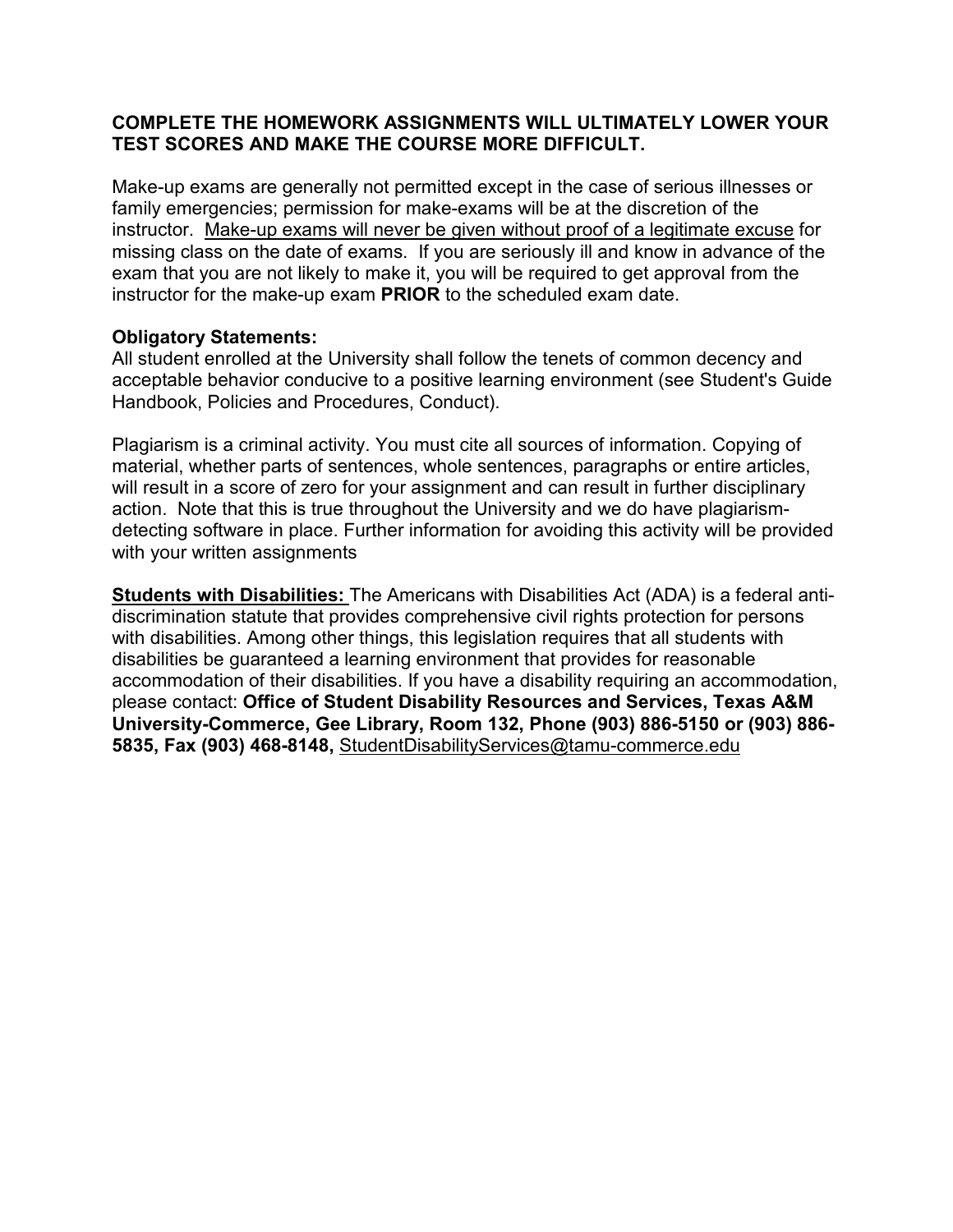## **COMPLETE THE HOMEWORK ASSIGNMENTS WILL ULTIMATELY LOWER YOUR TEST SCORES AND MAKE THE COURSE MORE DIFFICULT.**

Make-up exams are generally not permitted except in the case of serious illnesses or family emergencies; permission for make-exams will be at the discretion of the instructor. Make-up exams will never be given without proof of a legitimate excuse for missing class on the date of exams. If you are seriously ill and know in advance of the exam that you are not likely to make it, you will be required to get approval from the instructor for the make-up exam **PRIOR** to the scheduled exam date.

## **Obligatory Statements:**

All student enrolled at the University shall follow the tenets of common decency and acceptable behavior conducive to a positive learning environment (see Student's Guide Handbook, Policies and Procedures, Conduct).

Plagiarism is a criminal activity. You must cite all sources of information. Copying of material, whether parts of sentences, whole sentences, paragraphs or entire articles, will result in a score of zero for your assignment and can result in further disciplinary action. Note that this is true throughout the University and we do have plagiarismdetecting software in place. Further information for avoiding this activity will be provided with your written assignments

**Students with Disabilities:** The Americans with Disabilities Act (ADA) is a federal antidiscrimination statute that provides comprehensive civil rights protection for persons with disabilities. Among other things, this legislation requires that all students with disabilities be guaranteed a learning environment that provides for reasonable accommodation of their disabilities. If you have a disability requiring an accommodation, please contact: **Office of Student Disability Resources and Services, Texas A&M University-Commerce, Gee Library, Room 132, Phone (903) 886-5150 or (903) 886- 5835, Fax (903) 468-8148,** StudentDisabilityServices@tamu-commerce.edu